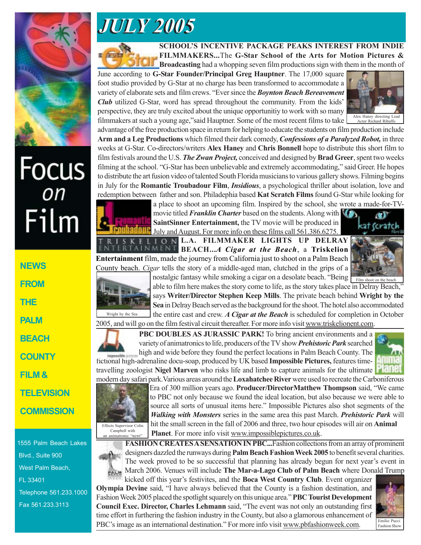

## Focus<br><sub>on</sub> Film

**NEWS FROM THE PALM BEACH COUNTY FILM & TELEVISION COMMISSION**

1555 Palm Beach Lakes Blvd., Suite 900 West Palm Beach, FL 33401 Telephone 561.233.1000 Fax 561.233.3113

## *JULY 2005 JULY 2005*



**SCHOOL'S INCENTIVE PACKAGE PEAKS INTEREST FROM INDIE FILMMAKERS...**The **G-Star School of the Arts for Motion Pictures & Broadcasting** had a whopping seven film productions sign with them in the month of

June according to **G-Star Founder/Principal Greg Hauptner**. The 17,000 square foot studio provided by G-Star at no charge has been transformed to accommodate a variety of elaborate sets and film crews. "Ever since the *Boynton Beach Bereavement Club* utilized G-Star, word has spread throughout the community. From the kids' perspective, they are truly excited about the unique opportunitiy to work with so many filmmakers at such a young age,"said Hauptner. Some of the most recent films to take



advantage of the free production space in return for helping to educate the students on film production include **Arm and a Leg Productions** which filmed their dark comedy, *Confessions of a Paralyzed Robot,* in three weeks at G-Star. Co-directors/writers **Alex Haney** and **Chris Bonnell** hope to distribute this short film to film festivals around the U.S. *The Zwan Project,* conceived and designed by **Brad Greer**, spent two weeks filming at the school. "G-Star has been unbelievable and extremely accommodating," said Greer. He hopes to distribute the art fusion video of talented South Florida musicians to various gallery shows. Filming begins in July for the **Romantic Troubadour Film**, *Insidious*, a psychological thriller about isolation, love and redemption between father and son. Philadephia based **Kat Scratch Films** found G-Star while looking for



a place to shoot an upcoming film. Inspired by the school, she wrote a made-for-TVmovie titled *Franklin Charter* based on the students. Along with **SaintSinner Entertainment,** the TV movie will be produced in **July and August.** For more info on these films call 561.386.6275.

**L.O.N.L.A. FILMMAKER LIGHTS UP DELRAY BEACH...***A Cigar at the Beach*, a **Triskelion Entertainment** film, made the journey from California just to shoot on a Palm Beach County beach. *Cigar* tells the story of a middle-aged man, clutched in the grips of a





nostalgic fantasy while smoking a cigar on a desolate beach. "Being Film shoot on the beach able to film here makes the story come to life, as the story takes place in Delray Beach," says **Writer/Director Stephen Keep Mills**. The private beach behind **Wright by the Sea** in Delray Beach served as the background for the shoot. The hotel also accommodated the entire cast and crew. *A Cigar at the Beach* is scheduled for completion in October

2005, and will go on the film festival circuit thereafter. For more info visit www.triskelionent.com.



**PBC DOUBLES AS JURASSIC PARK!** To bring ancient environments and a variety of animatronics to life, producers of the TV show *Prehistoric Park* searched high and wide before they found the perfect locations in Palm Beach County. The fictional high-adrenaline docu-soap, produced by UK based **Impossible Pictures,** features time-





Era of 300 million years ago. **Producer/DirectorMatthew Thompson** said, "We came to PBC not only because we found the ideal location, but also because we were able to source all sorts of unusual items here." Impossible Pictures also shot segments of the *Walking with Monsters* series in the same area this past March. *Prehistoric Park* will hit the small screen in the fall of 2006 and three, two hour episodes will air on **Animal Planet**. For more info visit www.impossiblepictures.co.uk.

**FASHION CREATES A SENSATION IN PBC...**Fashion collections from an array of prominent designers dazzled the runways during **Palm Beach Fashion Week 2005** to benefit several charities. The week proved to be so successful that planning has already begun for next year's event in March 2006. Venues will include **The Mar-a-Lago Club of Palm Beach** where Donald Trump an animatronic "newt"

kicked off this year's festivites, and the **Boca West Country Club**. Event organizer **Olympia Devine** said, "I have always believed that the County is a fashion destination, and Fashion Week 2005 placed the spotlight squarely on this unique area." **PBC Tourist Development Council Exec. Director, Charles Lehmann** said, "The event was not only an outstanding first time effort in furthering the fashion industry in the County, but also a glamorous enhancement of PBC's image as an international destination." For more info visit www.pbfashionweek.com.